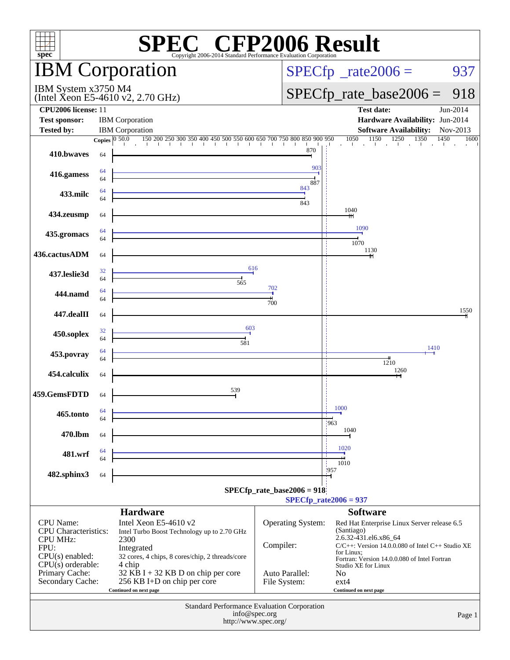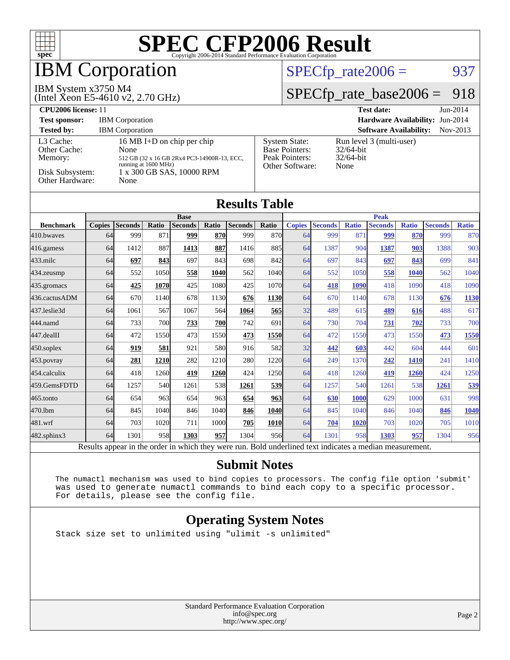

## **IBM** Corporation

#### IBM System x3750 M4

(Intel Xeon E5-4610 v2, 2.70 GHz)

#### $SPECTp_rate2006 = 937$

### [SPECfp\\_rate\\_base2006 =](http://www.spec.org/auto/cpu2006/Docs/result-fields.html#SPECfpratebase2006) 918

| <b>CPU2006 license: 11</b>                                                 |                                                                                                                                                |                                                                                    | <b>Test date:</b><br>$Jun-2014$                                  |
|----------------------------------------------------------------------------|------------------------------------------------------------------------------------------------------------------------------------------------|------------------------------------------------------------------------------------|------------------------------------------------------------------|
| <b>Test sponsor:</b>                                                       | <b>IBM</b> Corporation                                                                                                                         |                                                                                    | Hardware Availability: Jun-2014                                  |
| <b>Tested by:</b>                                                          | <b>IBM</b> Corporation                                                                                                                         |                                                                                    | <b>Software Availability:</b><br>$Nov-2013$                      |
| L3 Cache:<br>Other Cache:<br>Memory:<br>Disk Subsystem:<br>Other Hardware: | 16 MB I+D on chip per chip<br>None<br>512 GB (32 x 16 GB 2Rx4 PC3-14900R-13, ECC,<br>running at 1600 MHz)<br>1 x 300 GB SAS, 10000 RPM<br>None | <b>System State:</b><br><b>Base Pointers:</b><br>Peak Pointers:<br>Other Software: | Run level 3 (multi-user)<br>$32/64$ -bit<br>$32/64$ -bit<br>None |

#### **[Results Table](http://www.spec.org/auto/cpu2006/Docs/result-fields.html#ResultsTable) [Benchmark](http://www.spec.org/auto/cpu2006/Docs/result-fields.html#Benchmark) [Copies](http://www.spec.org/auto/cpu2006/Docs/result-fields.html#Copies) [Seconds](http://www.spec.org/auto/cpu2006/Docs/result-fields.html#Seconds) [Ratio](http://www.spec.org/auto/cpu2006/Docs/result-fields.html#Ratio) [Seconds](http://www.spec.org/auto/cpu2006/Docs/result-fields.html#Seconds) [Ratio](http://www.spec.org/auto/cpu2006/Docs/result-fields.html#Ratio) [Seconds](http://www.spec.org/auto/cpu2006/Docs/result-fields.html#Seconds) [Ratio](http://www.spec.org/auto/cpu2006/Docs/result-fields.html#Ratio) Base [Copies](http://www.spec.org/auto/cpu2006/Docs/result-fields.html#Copies) [Seconds](http://www.spec.org/auto/cpu2006/Docs/result-fields.html#Seconds) [Ratio](http://www.spec.org/auto/cpu2006/Docs/result-fields.html#Ratio) [Seconds](http://www.spec.org/auto/cpu2006/Docs/result-fields.html#Seconds) [Ratio](http://www.spec.org/auto/cpu2006/Docs/result-fields.html#Ratio) [Seconds](http://www.spec.org/auto/cpu2006/Docs/result-fields.html#Seconds) [Ratio](http://www.spec.org/auto/cpu2006/Docs/result-fields.html#Ratio) Peak** [410.bwaves](http://www.spec.org/auto/cpu2006/Docs/410.bwaves.html) 64 999 871 **[999](http://www.spec.org/auto/cpu2006/Docs/result-fields.html#Median) [870](http://www.spec.org/auto/cpu2006/Docs/result-fields.html#Median)** 999 870 64 999 871 **[999](http://www.spec.org/auto/cpu2006/Docs/result-fields.html#Median) [870](http://www.spec.org/auto/cpu2006/Docs/result-fields.html#Median)** 999 870 [416.gamess](http://www.spec.org/auto/cpu2006/Docs/416.gamess.html) 64 1412 887 **[1413](http://www.spec.org/auto/cpu2006/Docs/result-fields.html#Median) [887](http://www.spec.org/auto/cpu2006/Docs/result-fields.html#Median)** 1416 885 64 1387 904 **[1387](http://www.spec.org/auto/cpu2006/Docs/result-fields.html#Median) [903](http://www.spec.org/auto/cpu2006/Docs/result-fields.html#Median)** 1388 903 [433.milc](http://www.spec.org/auto/cpu2006/Docs/433.milc.html) 64 **[697](http://www.spec.org/auto/cpu2006/Docs/result-fields.html#Median) [843](http://www.spec.org/auto/cpu2006/Docs/result-fields.html#Median)** 697 843 698 842 64 697 843 **[697](http://www.spec.org/auto/cpu2006/Docs/result-fields.html#Median) [843](http://www.spec.org/auto/cpu2006/Docs/result-fields.html#Median)** 699 841 [434.zeusmp](http://www.spec.org/auto/cpu2006/Docs/434.zeusmp.html) 64 552 1050 **[558](http://www.spec.org/auto/cpu2006/Docs/result-fields.html#Median) [1040](http://www.spec.org/auto/cpu2006/Docs/result-fields.html#Median)** 562 1040 64 552 1050 **[558](http://www.spec.org/auto/cpu2006/Docs/result-fields.html#Median) [1040](http://www.spec.org/auto/cpu2006/Docs/result-fields.html#Median)** 562 1040 [435.gromacs](http://www.spec.org/auto/cpu2006/Docs/435.gromacs.html) 64 **[425](http://www.spec.org/auto/cpu2006/Docs/result-fields.html#Median) [1070](http://www.spec.org/auto/cpu2006/Docs/result-fields.html#Median)** 425 1080 425 1070 64 **[418](http://www.spec.org/auto/cpu2006/Docs/result-fields.html#Median) [1090](http://www.spec.org/auto/cpu2006/Docs/result-fields.html#Median)** 418 1090 418 1090 [436.cactusADM](http://www.spec.org/auto/cpu2006/Docs/436.cactusADM.html) 64 670 1140 678 1130 **[676](http://www.spec.org/auto/cpu2006/Docs/result-fields.html#Median) [1130](http://www.spec.org/auto/cpu2006/Docs/result-fields.html#Median)** 64 670 1140 678 1130 **[676](http://www.spec.org/auto/cpu2006/Docs/result-fields.html#Median) [1130](http://www.spec.org/auto/cpu2006/Docs/result-fields.html#Median)** [437.leslie3d](http://www.spec.org/auto/cpu2006/Docs/437.leslie3d.html) 64 1061 567 1067 564 **[1064](http://www.spec.org/auto/cpu2006/Docs/result-fields.html#Median) [565](http://www.spec.org/auto/cpu2006/Docs/result-fields.html#Median)** 32 489 615 **[489](http://www.spec.org/auto/cpu2006/Docs/result-fields.html#Median) [616](http://www.spec.org/auto/cpu2006/Docs/result-fields.html#Median)** 488 617 [444.namd](http://www.spec.org/auto/cpu2006/Docs/444.namd.html) 64 733 700 **[733](http://www.spec.org/auto/cpu2006/Docs/result-fields.html#Median) [700](http://www.spec.org/auto/cpu2006/Docs/result-fields.html#Median)** 742 691 64 730 704 **[731](http://www.spec.org/auto/cpu2006/Docs/result-fields.html#Median) [702](http://www.spec.org/auto/cpu2006/Docs/result-fields.html#Median)** 733 700 [447.dealII](http://www.spec.org/auto/cpu2006/Docs/447.dealII.html) 64 472 1550 473 1550 **[473](http://www.spec.org/auto/cpu2006/Docs/result-fields.html#Median) [1550](http://www.spec.org/auto/cpu2006/Docs/result-fields.html#Median)** 64 472 1550 473 1550 **[473](http://www.spec.org/auto/cpu2006/Docs/result-fields.html#Median) [1550](http://www.spec.org/auto/cpu2006/Docs/result-fields.html#Median)** [450.soplex](http://www.spec.org/auto/cpu2006/Docs/450.soplex.html) 64 **[919](http://www.spec.org/auto/cpu2006/Docs/result-fields.html#Median) [581](http://www.spec.org/auto/cpu2006/Docs/result-fields.html#Median)** 921 580 916 582 32 **[442](http://www.spec.org/auto/cpu2006/Docs/result-fields.html#Median) [603](http://www.spec.org/auto/cpu2006/Docs/result-fields.html#Median)** 442 604 444 601 [453.povray](http://www.spec.org/auto/cpu2006/Docs/453.povray.html) 64 **[281](http://www.spec.org/auto/cpu2006/Docs/result-fields.html#Median) [1210](http://www.spec.org/auto/cpu2006/Docs/result-fields.html#Median)** 282 1210 280 1220 64 249 1370 **[242](http://www.spec.org/auto/cpu2006/Docs/result-fields.html#Median) [1410](http://www.spec.org/auto/cpu2006/Docs/result-fields.html#Median)** 241 1410 [454.calculix](http://www.spec.org/auto/cpu2006/Docs/454.calculix.html) 64 418 1260 **[419](http://www.spec.org/auto/cpu2006/Docs/result-fields.html#Median) [1260](http://www.spec.org/auto/cpu2006/Docs/result-fields.html#Median)** 424 1250 64 418 1260 **[419](http://www.spec.org/auto/cpu2006/Docs/result-fields.html#Median) [1260](http://www.spec.org/auto/cpu2006/Docs/result-fields.html#Median)** 424 1250 [459.GemsFDTD](http://www.spec.org/auto/cpu2006/Docs/459.GemsFDTD.html) 64 1257 540 1261 538 **[1261](http://www.spec.org/auto/cpu2006/Docs/result-fields.html#Median) [539](http://www.spec.org/auto/cpu2006/Docs/result-fields.html#Median)** 64 1257 540 1261 538 **[1261](http://www.spec.org/auto/cpu2006/Docs/result-fields.html#Median) [539](http://www.spec.org/auto/cpu2006/Docs/result-fields.html#Median)** [465.tonto](http://www.spec.org/auto/cpu2006/Docs/465.tonto.html) 64 654 963 654 963 **[654](http://www.spec.org/auto/cpu2006/Docs/result-fields.html#Median) [963](http://www.spec.org/auto/cpu2006/Docs/result-fields.html#Median)** 64 **[630](http://www.spec.org/auto/cpu2006/Docs/result-fields.html#Median) [1000](http://www.spec.org/auto/cpu2006/Docs/result-fields.html#Median)** 629 1000 631 998 [470.lbm](http://www.spec.org/auto/cpu2006/Docs/470.lbm.html) 64 845 1040 846 1040 **[846](http://www.spec.org/auto/cpu2006/Docs/result-fields.html#Median) [1040](http://www.spec.org/auto/cpu2006/Docs/result-fields.html#Median)** 64 845 1040 846 1040 **[846](http://www.spec.org/auto/cpu2006/Docs/result-fields.html#Median) [1040](http://www.spec.org/auto/cpu2006/Docs/result-fields.html#Median)** [481.wrf](http://www.spec.org/auto/cpu2006/Docs/481.wrf.html) 64 703 1020 711 1000 **[705](http://www.spec.org/auto/cpu2006/Docs/result-fields.html#Median) [1010](http://www.spec.org/auto/cpu2006/Docs/result-fields.html#Median)** 64 **[704](http://www.spec.org/auto/cpu2006/Docs/result-fields.html#Median) [1020](http://www.spec.org/auto/cpu2006/Docs/result-fields.html#Median)** 703 1020 705 1010 [482.sphinx3](http://www.spec.org/auto/cpu2006/Docs/482.sphinx3.html) 64 1301 958 **[1303](http://www.spec.org/auto/cpu2006/Docs/result-fields.html#Median) [957](http://www.spec.org/auto/cpu2006/Docs/result-fields.html#Median)** 1304 956 64 1301 958 **[1303](http://www.spec.org/auto/cpu2006/Docs/result-fields.html#Median) [957](http://www.spec.org/auto/cpu2006/Docs/result-fields.html#Median)** 1304 956

Results appear in the [order in which they were run.](http://www.spec.org/auto/cpu2006/Docs/result-fields.html#RunOrder) Bold underlined text [indicates a median measurement.](http://www.spec.org/auto/cpu2006/Docs/result-fields.html#Median)

#### **[Submit Notes](http://www.spec.org/auto/cpu2006/Docs/result-fields.html#SubmitNotes)**

 The numactl mechanism was used to bind copies to processors. The config file option 'submit' was used to generate numactl commands to bind each copy to a specific processor. For details, please see the config file.

#### **[Operating System Notes](http://www.spec.org/auto/cpu2006/Docs/result-fields.html#OperatingSystemNotes)**

Stack size set to unlimited using "ulimit -s unlimited"

Standard Performance Evaluation Corporation [info@spec.org](mailto:info@spec.org) <http://www.spec.org/>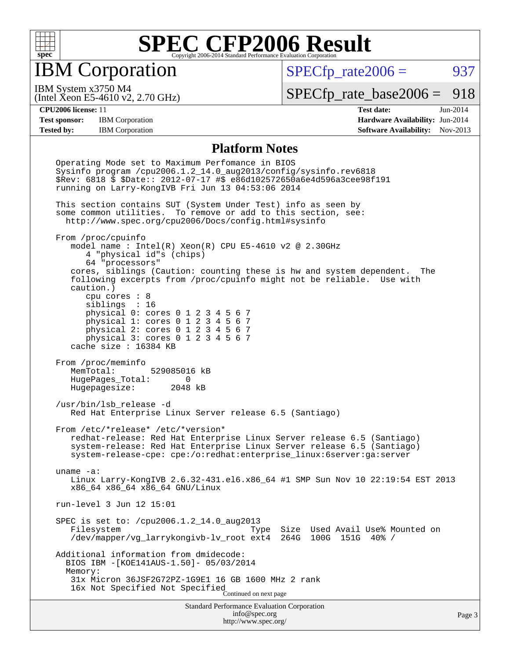

IBM Corporation

 $SPECTp\_rate2006 = 937$ 

(Intel Xeon E5-4610 v2, 2.70 GHz) IBM System x3750 M4

[SPECfp\\_rate\\_base2006 =](http://www.spec.org/auto/cpu2006/Docs/result-fields.html#SPECfpratebase2006) 918

**[CPU2006 license:](http://www.spec.org/auto/cpu2006/Docs/result-fields.html#CPU2006license)** 11 **[Test date:](http://www.spec.org/auto/cpu2006/Docs/result-fields.html#Testdate)** Jun-2014 **[Test sponsor:](http://www.spec.org/auto/cpu2006/Docs/result-fields.html#Testsponsor)** IBM Corporation **[Hardware Availability:](http://www.spec.org/auto/cpu2006/Docs/result-fields.html#HardwareAvailability)** Jun-2014 **[Tested by:](http://www.spec.org/auto/cpu2006/Docs/result-fields.html#Testedby)** IBM Corporation **[Software Availability:](http://www.spec.org/auto/cpu2006/Docs/result-fields.html#SoftwareAvailability)** Nov-2013

#### **[Platform Notes](http://www.spec.org/auto/cpu2006/Docs/result-fields.html#PlatformNotes)**

Standard Performance Evaluation Corporation [info@spec.org](mailto:info@spec.org) <http://www.spec.org/> Page 3 Operating Mode set to Maximum Perfomance in BIOS Sysinfo program /cpu2006.1.2\_14.0\_aug2013/config/sysinfo.rev6818 \$Rev: 6818 \$ \$Date:: 2012-07-17 #\$ e86d102572650a6e4d596a3cee98f191 running on Larry-KongIVB Fri Jun 13 04:53:06 2014 This section contains SUT (System Under Test) info as seen by some common utilities. To remove or add to this section, see: <http://www.spec.org/cpu2006/Docs/config.html#sysinfo> From /proc/cpuinfo model name : Intel(R) Xeon(R) CPU E5-4610 v2 @ 2.30GHz 4 "physical id"s (chips) 64 "processors" cores, siblings (Caution: counting these is hw and system dependent. The following excerpts from /proc/cpuinfo might not be reliable. Use with caution.) cpu cores : 8 siblings : 16 physical 0: cores 0 1 2 3 4 5 6 7 physical 1: cores 0 1 2 3 4 5 6 7 physical 2: cores 0 1 2 3 4 5 6 7 physical 3: cores 0 1 2 3 4 5 6 7 cache size : 16384 KB From /proc/meminfo<br>MemTotal: 529085016 kB HugePages\_Total: 0<br>Hugepagesize: 2048 kB Hugepagesize: /usr/bin/lsb\_release -d Red Hat Enterprise Linux Server release 6.5 (Santiago) From /etc/\*release\* /etc/\*version\* redhat-release: Red Hat Enterprise Linux Server release 6.5 (Santiago) system-release: Red Hat Enterprise Linux Server release 6.5 (Santiago) system-release-cpe: cpe:/o:redhat:enterprise\_linux:6server:ga:server uname -a: Linux Larry-KongIVB 2.6.32-431.el6.x86\_64 #1 SMP Sun Nov 10 22:19:54 EST 2013 x86\_64 x86\_64 x86\_64 GNU/Linux run-level 3 Jun 12 15:01 SPEC is set to: /cpu2006.1.2\_14.0\_aug2013 Filesystem Type Size Used Avail Use% Mounted on /dev/mapper/vg\_larrykongivb-lv\_root ext4 264G 100G 151G 40% / Additional information from dmidecode: BIOS IBM -[KOE141AUS-1.50]- 05/03/2014 Memory: 31x Micron 36JSF2G72PZ-1G9E1 16 GB 1600 MHz 2 rank 16x Not Specified Not Specified Continued on next page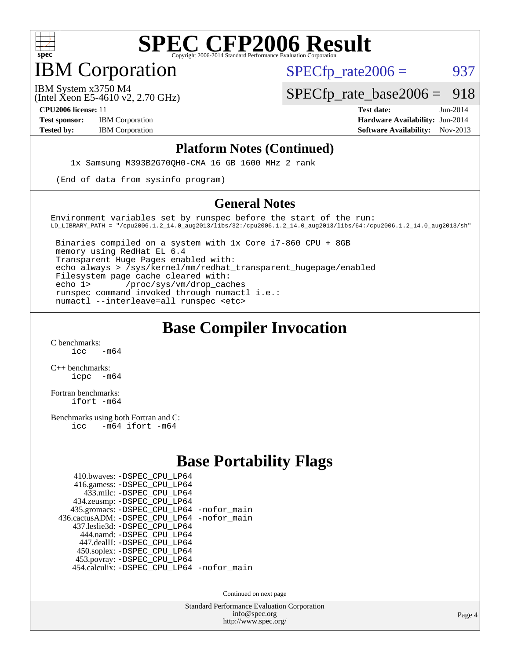

IBM Corporation

 $SPECTp\_rate2006 = 937$ 

(Intel Xeon E5-4610 v2, 2.70 GHz) IBM System x3750 M4

[SPECfp\\_rate\\_base2006 =](http://www.spec.org/auto/cpu2006/Docs/result-fields.html#SPECfpratebase2006) 918

**[CPU2006 license:](http://www.spec.org/auto/cpu2006/Docs/result-fields.html#CPU2006license)** 11 **[Test date:](http://www.spec.org/auto/cpu2006/Docs/result-fields.html#Testdate)** Jun-2014 **[Test sponsor:](http://www.spec.org/auto/cpu2006/Docs/result-fields.html#Testsponsor)** IBM Corporation **[Hardware Availability:](http://www.spec.org/auto/cpu2006/Docs/result-fields.html#HardwareAvailability)** Jun-2014 **[Tested by:](http://www.spec.org/auto/cpu2006/Docs/result-fields.html#Testedby)** IBM Corporation **[Software Availability:](http://www.spec.org/auto/cpu2006/Docs/result-fields.html#SoftwareAvailability)** Nov-2013

#### **[Platform Notes \(Continued\)](http://www.spec.org/auto/cpu2006/Docs/result-fields.html#PlatformNotes)**

1x Samsung M393B2G70QH0-CMA 16 GB 1600 MHz 2 rank

(End of data from sysinfo program)

#### **[General Notes](http://www.spec.org/auto/cpu2006/Docs/result-fields.html#GeneralNotes)**

Environment variables set by runspec before the start of the run: LD\_LIBRARY\_PATH = "/cpu2006.1.2\_14.0\_aug2013/libs/32:/cpu2006.1.2\_14.0\_aug2013/libs/64:/cpu2006.1.2\_14.0\_aug2013/sh"

 Binaries compiled on a system with 1x Core i7-860 CPU + 8GB memory using RedHat EL 6.4 Transparent Huge Pages enabled with: echo always > /sys/kernel/mm/redhat\_transparent\_hugepage/enabled Filesystem page cache cleared with: echo 1> /proc/sys/vm/drop\_caches runspec command invoked through numactl i.e.: numactl --interleave=all runspec <etc>

### **[Base Compiler Invocation](http://www.spec.org/auto/cpu2006/Docs/result-fields.html#BaseCompilerInvocation)**

[C benchmarks](http://www.spec.org/auto/cpu2006/Docs/result-fields.html#Cbenchmarks):  $\frac{1}{2}$ cc  $-\text{m64}$ 

[C++ benchmarks:](http://www.spec.org/auto/cpu2006/Docs/result-fields.html#CXXbenchmarks) [icpc -m64](http://www.spec.org/cpu2006/results/res2014q3/cpu2006-20140616-29908.flags.html#user_CXXbase_intel_icpc_64bit_bedb90c1146cab66620883ef4f41a67e)

[Fortran benchmarks](http://www.spec.org/auto/cpu2006/Docs/result-fields.html#Fortranbenchmarks): [ifort -m64](http://www.spec.org/cpu2006/results/res2014q3/cpu2006-20140616-29908.flags.html#user_FCbase_intel_ifort_64bit_ee9d0fb25645d0210d97eb0527dcc06e)

[Benchmarks using both Fortran and C](http://www.spec.org/auto/cpu2006/Docs/result-fields.html#BenchmarksusingbothFortranandC): [icc -m64](http://www.spec.org/cpu2006/results/res2014q3/cpu2006-20140616-29908.flags.html#user_CC_FCbase_intel_icc_64bit_0b7121f5ab7cfabee23d88897260401c) [ifort -m64](http://www.spec.org/cpu2006/results/res2014q3/cpu2006-20140616-29908.flags.html#user_CC_FCbase_intel_ifort_64bit_ee9d0fb25645d0210d97eb0527dcc06e)

### **[Base Portability Flags](http://www.spec.org/auto/cpu2006/Docs/result-fields.html#BasePortabilityFlags)**

| 410.bwaves: - DSPEC CPU LP64               |  |
|--------------------------------------------|--|
| 416.gamess: -DSPEC_CPU_LP64                |  |
| 433.milc: -DSPEC CPU LP64                  |  |
| 434.zeusmp: - DSPEC_CPU_LP64               |  |
| 435.gromacs: -DSPEC_CPU_LP64 -nofor_main   |  |
| 436.cactusADM: -DSPEC CPU LP64 -nofor main |  |
| 437.leslie3d: -DSPEC CPU LP64              |  |
| 444.namd: -DSPEC CPU LP64                  |  |
| 447.dealII: -DSPEC CPU LP64                |  |
| 450.soplex: -DSPEC_CPU_LP64                |  |
| 453.povray: -DSPEC_CPU_LP64                |  |
| 454.calculix: -DSPEC_CPU_LP64 -nofor_main  |  |

Continued on next page

Standard Performance Evaluation Corporation [info@spec.org](mailto:info@spec.org) <http://www.spec.org/>

Page 4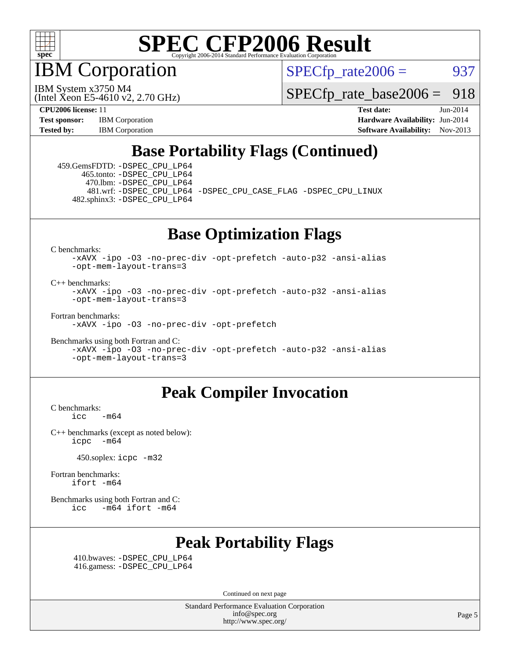

IBM Corporation

 $SPECTp\_rate2006 = 937$ 

(Intel Xeon E5-4610 v2, 2.70 GHz) IBM System x3750 M4

[SPECfp\\_rate\\_base2006 =](http://www.spec.org/auto/cpu2006/Docs/result-fields.html#SPECfpratebase2006) 918

**[CPU2006 license:](http://www.spec.org/auto/cpu2006/Docs/result-fields.html#CPU2006license)** 11 **[Test date:](http://www.spec.org/auto/cpu2006/Docs/result-fields.html#Testdate)** Jun-2014 **[Test sponsor:](http://www.spec.org/auto/cpu2006/Docs/result-fields.html#Testsponsor)** IBM Corporation **[Hardware Availability:](http://www.spec.org/auto/cpu2006/Docs/result-fields.html#HardwareAvailability)** Jun-2014 [Tested by:](http://www.spec.org/auto/cpu2006/Docs/result-fields.html#Testedby) IBM Corporation **[Software Availability:](http://www.spec.org/auto/cpu2006/Docs/result-fields.html#SoftwareAvailability)** Nov-2013

### **[Base Portability Flags \(Continued\)](http://www.spec.org/auto/cpu2006/Docs/result-fields.html#BasePortabilityFlags)**

 459.GemsFDTD: [-DSPEC\\_CPU\\_LP64](http://www.spec.org/cpu2006/results/res2014q3/cpu2006-20140616-29908.flags.html#suite_basePORTABILITY459_GemsFDTD_DSPEC_CPU_LP64) 465.tonto: [-DSPEC\\_CPU\\_LP64](http://www.spec.org/cpu2006/results/res2014q3/cpu2006-20140616-29908.flags.html#suite_basePORTABILITY465_tonto_DSPEC_CPU_LP64) 470.lbm: [-DSPEC\\_CPU\\_LP64](http://www.spec.org/cpu2006/results/res2014q3/cpu2006-20140616-29908.flags.html#suite_basePORTABILITY470_lbm_DSPEC_CPU_LP64) 482.sphinx3: [-DSPEC\\_CPU\\_LP64](http://www.spec.org/cpu2006/results/res2014q3/cpu2006-20140616-29908.flags.html#suite_basePORTABILITY482_sphinx3_DSPEC_CPU_LP64)

481.wrf: [-DSPEC\\_CPU\\_LP64](http://www.spec.org/cpu2006/results/res2014q3/cpu2006-20140616-29908.flags.html#suite_basePORTABILITY481_wrf_DSPEC_CPU_LP64) [-DSPEC\\_CPU\\_CASE\\_FLAG](http://www.spec.org/cpu2006/results/res2014q3/cpu2006-20140616-29908.flags.html#b481.wrf_baseCPORTABILITY_DSPEC_CPU_CASE_FLAG) [-DSPEC\\_CPU\\_LINUX](http://www.spec.org/cpu2006/results/res2014q3/cpu2006-20140616-29908.flags.html#b481.wrf_baseCPORTABILITY_DSPEC_CPU_LINUX)

**[Base Optimization Flags](http://www.spec.org/auto/cpu2006/Docs/result-fields.html#BaseOptimizationFlags)**

[C benchmarks](http://www.spec.org/auto/cpu2006/Docs/result-fields.html#Cbenchmarks):

[-xAVX](http://www.spec.org/cpu2006/results/res2014q3/cpu2006-20140616-29908.flags.html#user_CCbase_f-xAVX) [-ipo](http://www.spec.org/cpu2006/results/res2014q3/cpu2006-20140616-29908.flags.html#user_CCbase_f-ipo) [-O3](http://www.spec.org/cpu2006/results/res2014q3/cpu2006-20140616-29908.flags.html#user_CCbase_f-O3) [-no-prec-div](http://www.spec.org/cpu2006/results/res2014q3/cpu2006-20140616-29908.flags.html#user_CCbase_f-no-prec-div) [-opt-prefetch](http://www.spec.org/cpu2006/results/res2014q3/cpu2006-20140616-29908.flags.html#user_CCbase_f-opt-prefetch) [-auto-p32](http://www.spec.org/cpu2006/results/res2014q3/cpu2006-20140616-29908.flags.html#user_CCbase_f-auto-p32) [-ansi-alias](http://www.spec.org/cpu2006/results/res2014q3/cpu2006-20140616-29908.flags.html#user_CCbase_f-ansi-alias) [-opt-mem-layout-trans=3](http://www.spec.org/cpu2006/results/res2014q3/cpu2006-20140616-29908.flags.html#user_CCbase_f-opt-mem-layout-trans_a7b82ad4bd7abf52556d4961a2ae94d5)

[C++ benchmarks:](http://www.spec.org/auto/cpu2006/Docs/result-fields.html#CXXbenchmarks)

[-xAVX](http://www.spec.org/cpu2006/results/res2014q3/cpu2006-20140616-29908.flags.html#user_CXXbase_f-xAVX) [-ipo](http://www.spec.org/cpu2006/results/res2014q3/cpu2006-20140616-29908.flags.html#user_CXXbase_f-ipo) [-O3](http://www.spec.org/cpu2006/results/res2014q3/cpu2006-20140616-29908.flags.html#user_CXXbase_f-O3) [-no-prec-div](http://www.spec.org/cpu2006/results/res2014q3/cpu2006-20140616-29908.flags.html#user_CXXbase_f-no-prec-div) [-opt-prefetch](http://www.spec.org/cpu2006/results/res2014q3/cpu2006-20140616-29908.flags.html#user_CXXbase_f-opt-prefetch) [-auto-p32](http://www.spec.org/cpu2006/results/res2014q3/cpu2006-20140616-29908.flags.html#user_CXXbase_f-auto-p32) [-ansi-alias](http://www.spec.org/cpu2006/results/res2014q3/cpu2006-20140616-29908.flags.html#user_CXXbase_f-ansi-alias) [-opt-mem-layout-trans=3](http://www.spec.org/cpu2006/results/res2014q3/cpu2006-20140616-29908.flags.html#user_CXXbase_f-opt-mem-layout-trans_a7b82ad4bd7abf52556d4961a2ae94d5)

[Fortran benchmarks](http://www.spec.org/auto/cpu2006/Docs/result-fields.html#Fortranbenchmarks): [-xAVX](http://www.spec.org/cpu2006/results/res2014q3/cpu2006-20140616-29908.flags.html#user_FCbase_f-xAVX) [-ipo](http://www.spec.org/cpu2006/results/res2014q3/cpu2006-20140616-29908.flags.html#user_FCbase_f-ipo) [-O3](http://www.spec.org/cpu2006/results/res2014q3/cpu2006-20140616-29908.flags.html#user_FCbase_f-O3) [-no-prec-div](http://www.spec.org/cpu2006/results/res2014q3/cpu2006-20140616-29908.flags.html#user_FCbase_f-no-prec-div) [-opt-prefetch](http://www.spec.org/cpu2006/results/res2014q3/cpu2006-20140616-29908.flags.html#user_FCbase_f-opt-prefetch)

[Benchmarks using both Fortran and C](http://www.spec.org/auto/cpu2006/Docs/result-fields.html#BenchmarksusingbothFortranandC):

[-xAVX](http://www.spec.org/cpu2006/results/res2014q3/cpu2006-20140616-29908.flags.html#user_CC_FCbase_f-xAVX) [-ipo](http://www.spec.org/cpu2006/results/res2014q3/cpu2006-20140616-29908.flags.html#user_CC_FCbase_f-ipo) [-O3](http://www.spec.org/cpu2006/results/res2014q3/cpu2006-20140616-29908.flags.html#user_CC_FCbase_f-O3) [-no-prec-div](http://www.spec.org/cpu2006/results/res2014q3/cpu2006-20140616-29908.flags.html#user_CC_FCbase_f-no-prec-div) [-opt-prefetch](http://www.spec.org/cpu2006/results/res2014q3/cpu2006-20140616-29908.flags.html#user_CC_FCbase_f-opt-prefetch) [-auto-p32](http://www.spec.org/cpu2006/results/res2014q3/cpu2006-20140616-29908.flags.html#user_CC_FCbase_f-auto-p32) [-ansi-alias](http://www.spec.org/cpu2006/results/res2014q3/cpu2006-20140616-29908.flags.html#user_CC_FCbase_f-ansi-alias) [-opt-mem-layout-trans=3](http://www.spec.org/cpu2006/results/res2014q3/cpu2006-20140616-29908.flags.html#user_CC_FCbase_f-opt-mem-layout-trans_a7b82ad4bd7abf52556d4961a2ae94d5)

#### **[Peak Compiler Invocation](http://www.spec.org/auto/cpu2006/Docs/result-fields.html#PeakCompilerInvocation)**

[C benchmarks](http://www.spec.org/auto/cpu2006/Docs/result-fields.html#Cbenchmarks):  $\text{icc}$   $-\text{m64}$ 

[C++ benchmarks \(except as noted below\):](http://www.spec.org/auto/cpu2006/Docs/result-fields.html#CXXbenchmarksexceptasnotedbelow) [icpc -m64](http://www.spec.org/cpu2006/results/res2014q3/cpu2006-20140616-29908.flags.html#user_CXXpeak_intel_icpc_64bit_bedb90c1146cab66620883ef4f41a67e)

450.soplex: [icpc -m32](http://www.spec.org/cpu2006/results/res2014q3/cpu2006-20140616-29908.flags.html#user_peakCXXLD450_soplex_intel_icpc_4e5a5ef1a53fd332b3c49e69c3330699)

[Fortran benchmarks](http://www.spec.org/auto/cpu2006/Docs/result-fields.html#Fortranbenchmarks): [ifort -m64](http://www.spec.org/cpu2006/results/res2014q3/cpu2006-20140616-29908.flags.html#user_FCpeak_intel_ifort_64bit_ee9d0fb25645d0210d97eb0527dcc06e)

[Benchmarks using both Fortran and C](http://www.spec.org/auto/cpu2006/Docs/result-fields.html#BenchmarksusingbothFortranandC): [icc -m64](http://www.spec.org/cpu2006/results/res2014q3/cpu2006-20140616-29908.flags.html#user_CC_FCpeak_intel_icc_64bit_0b7121f5ab7cfabee23d88897260401c) [ifort -m64](http://www.spec.org/cpu2006/results/res2014q3/cpu2006-20140616-29908.flags.html#user_CC_FCpeak_intel_ifort_64bit_ee9d0fb25645d0210d97eb0527dcc06e)

### **[Peak Portability Flags](http://www.spec.org/auto/cpu2006/Docs/result-fields.html#PeakPortabilityFlags)**

 410.bwaves: [-DSPEC\\_CPU\\_LP64](http://www.spec.org/cpu2006/results/res2014q3/cpu2006-20140616-29908.flags.html#suite_peakPORTABILITY410_bwaves_DSPEC_CPU_LP64) 416.gamess: [-DSPEC\\_CPU\\_LP64](http://www.spec.org/cpu2006/results/res2014q3/cpu2006-20140616-29908.flags.html#suite_peakPORTABILITY416_gamess_DSPEC_CPU_LP64)

Continued on next page

Standard Performance Evaluation Corporation [info@spec.org](mailto:info@spec.org) <http://www.spec.org/>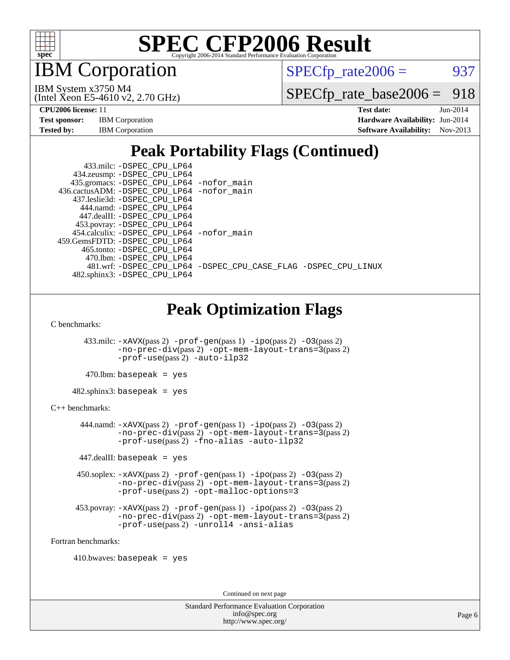

**BM** Corporation

 $SPECTp\_rate2006 = 937$ 

(Intel Xeon E5-4610 v2, 2.70 GHz) IBM System x3750 M4

[SPECfp\\_rate\\_base2006 =](http://www.spec.org/auto/cpu2006/Docs/result-fields.html#SPECfpratebase2006) 918

| <b>Test sponsor:</b> | <b>IBM</b> Corporation |
|----------------------|------------------------|
| <b>Tested by:</b>    | <b>IBM</b> Corporation |

**[CPU2006 license:](http://www.spec.org/auto/cpu2006/Docs/result-fields.html#CPU2006license)** 11 **[Test date:](http://www.spec.org/auto/cpu2006/Docs/result-fields.html#Testdate)** Jun-2014 **[Hardware Availability:](http://www.spec.org/auto/cpu2006/Docs/result-fields.html#HardwareAvailability)** Jun-2014 **[Software Availability:](http://www.spec.org/auto/cpu2006/Docs/result-fields.html#SoftwareAvailability)** Nov-2013

## **[Peak Portability Flags \(Continued\)](http://www.spec.org/auto/cpu2006/Docs/result-fields.html#PeakPortabilityFlags)**

 433.milc: [-DSPEC\\_CPU\\_LP64](http://www.spec.org/cpu2006/results/res2014q3/cpu2006-20140616-29908.flags.html#suite_peakPORTABILITY433_milc_DSPEC_CPU_LP64) 434.zeusmp: [-DSPEC\\_CPU\\_LP64](http://www.spec.org/cpu2006/results/res2014q3/cpu2006-20140616-29908.flags.html#suite_peakPORTABILITY434_zeusmp_DSPEC_CPU_LP64) 435.gromacs: [-DSPEC\\_CPU\\_LP64](http://www.spec.org/cpu2006/results/res2014q3/cpu2006-20140616-29908.flags.html#suite_peakPORTABILITY435_gromacs_DSPEC_CPU_LP64) [-nofor\\_main](http://www.spec.org/cpu2006/results/res2014q3/cpu2006-20140616-29908.flags.html#user_peakLDPORTABILITY435_gromacs_f-nofor_main) 436.cactusADM: [-DSPEC\\_CPU\\_LP64](http://www.spec.org/cpu2006/results/res2014q3/cpu2006-20140616-29908.flags.html#suite_peakPORTABILITY436_cactusADM_DSPEC_CPU_LP64) [-nofor\\_main](http://www.spec.org/cpu2006/results/res2014q3/cpu2006-20140616-29908.flags.html#user_peakLDPORTABILITY436_cactusADM_f-nofor_main) 437.leslie3d: [-DSPEC\\_CPU\\_LP64](http://www.spec.org/cpu2006/results/res2014q3/cpu2006-20140616-29908.flags.html#suite_peakPORTABILITY437_leslie3d_DSPEC_CPU_LP64) 444.namd: [-DSPEC\\_CPU\\_LP64](http://www.spec.org/cpu2006/results/res2014q3/cpu2006-20140616-29908.flags.html#suite_peakPORTABILITY444_namd_DSPEC_CPU_LP64) 447.dealII: [-DSPEC\\_CPU\\_LP64](http://www.spec.org/cpu2006/results/res2014q3/cpu2006-20140616-29908.flags.html#suite_peakPORTABILITY447_dealII_DSPEC_CPU_LP64) 453.povray: [-DSPEC\\_CPU\\_LP64](http://www.spec.org/cpu2006/results/res2014q3/cpu2006-20140616-29908.flags.html#suite_peakPORTABILITY453_povray_DSPEC_CPU_LP64) 454.calculix: [-DSPEC\\_CPU\\_LP64](http://www.spec.org/cpu2006/results/res2014q3/cpu2006-20140616-29908.flags.html#suite_peakPORTABILITY454_calculix_DSPEC_CPU_LP64) [-nofor\\_main](http://www.spec.org/cpu2006/results/res2014q3/cpu2006-20140616-29908.flags.html#user_peakLDPORTABILITY454_calculix_f-nofor_main) 459.GemsFDTD: [-DSPEC\\_CPU\\_LP64](http://www.spec.org/cpu2006/results/res2014q3/cpu2006-20140616-29908.flags.html#suite_peakPORTABILITY459_GemsFDTD_DSPEC_CPU_LP64) 465.tonto: [-DSPEC\\_CPU\\_LP64](http://www.spec.org/cpu2006/results/res2014q3/cpu2006-20140616-29908.flags.html#suite_peakPORTABILITY465_tonto_DSPEC_CPU_LP64) 470.lbm: [-DSPEC\\_CPU\\_LP64](http://www.spec.org/cpu2006/results/res2014q3/cpu2006-20140616-29908.flags.html#suite_peakPORTABILITY470_lbm_DSPEC_CPU_LP64) 481.wrf: [-DSPEC\\_CPU\\_LP64](http://www.spec.org/cpu2006/results/res2014q3/cpu2006-20140616-29908.flags.html#suite_peakPORTABILITY481_wrf_DSPEC_CPU_LP64) [-DSPEC\\_CPU\\_CASE\\_FLAG](http://www.spec.org/cpu2006/results/res2014q3/cpu2006-20140616-29908.flags.html#b481.wrf_peakCPORTABILITY_DSPEC_CPU_CASE_FLAG) [-DSPEC\\_CPU\\_LINUX](http://www.spec.org/cpu2006/results/res2014q3/cpu2006-20140616-29908.flags.html#b481.wrf_peakCPORTABILITY_DSPEC_CPU_LINUX)

482.sphinx3: [-DSPEC\\_CPU\\_LP64](http://www.spec.org/cpu2006/results/res2014q3/cpu2006-20140616-29908.flags.html#suite_peakPORTABILITY482_sphinx3_DSPEC_CPU_LP64)

## **[Peak Optimization Flags](http://www.spec.org/auto/cpu2006/Docs/result-fields.html#PeakOptimizationFlags)**

[C benchmarks](http://www.spec.org/auto/cpu2006/Docs/result-fields.html#Cbenchmarks):

 433.milc: [-xAVX](http://www.spec.org/cpu2006/results/res2014q3/cpu2006-20140616-29908.flags.html#user_peakPASS2_CFLAGSPASS2_LDFLAGS433_milc_f-xAVX)(pass 2) [-prof-gen](http://www.spec.org/cpu2006/results/res2014q3/cpu2006-20140616-29908.flags.html#user_peakPASS1_CFLAGSPASS1_LDFLAGS433_milc_prof_gen_e43856698f6ca7b7e442dfd80e94a8fc)(pass 1) [-ipo](http://www.spec.org/cpu2006/results/res2014q3/cpu2006-20140616-29908.flags.html#user_peakPASS2_CFLAGSPASS2_LDFLAGS433_milc_f-ipo)(pass 2) [-O3](http://www.spec.org/cpu2006/results/res2014q3/cpu2006-20140616-29908.flags.html#user_peakPASS2_CFLAGSPASS2_LDFLAGS433_milc_f-O3)(pass 2) [-no-prec-div](http://www.spec.org/cpu2006/results/res2014q3/cpu2006-20140616-29908.flags.html#user_peakPASS2_CFLAGSPASS2_LDFLAGS433_milc_f-no-prec-div)(pass 2) [-opt-mem-layout-trans=3](http://www.spec.org/cpu2006/results/res2014q3/cpu2006-20140616-29908.flags.html#user_peakPASS2_CFLAGS433_milc_f-opt-mem-layout-trans_a7b82ad4bd7abf52556d4961a2ae94d5)(pass 2) [-prof-use](http://www.spec.org/cpu2006/results/res2014q3/cpu2006-20140616-29908.flags.html#user_peakPASS2_CFLAGSPASS2_LDFLAGS433_milc_prof_use_bccf7792157ff70d64e32fe3e1250b55)(pass 2) [-auto-ilp32](http://www.spec.org/cpu2006/results/res2014q3/cpu2006-20140616-29908.flags.html#user_peakCOPTIMIZE433_milc_f-auto-ilp32)

 $470$ .lbm: basepeak = yes

 $482$ .sphinx $3$ : basepeak = yes

#### [C++ benchmarks:](http://www.spec.org/auto/cpu2006/Docs/result-fields.html#CXXbenchmarks)

 444.namd: [-xAVX](http://www.spec.org/cpu2006/results/res2014q3/cpu2006-20140616-29908.flags.html#user_peakPASS2_CXXFLAGSPASS2_LDFLAGS444_namd_f-xAVX)(pass 2) [-prof-gen](http://www.spec.org/cpu2006/results/res2014q3/cpu2006-20140616-29908.flags.html#user_peakPASS1_CXXFLAGSPASS1_LDFLAGS444_namd_prof_gen_e43856698f6ca7b7e442dfd80e94a8fc)(pass 1) [-ipo](http://www.spec.org/cpu2006/results/res2014q3/cpu2006-20140616-29908.flags.html#user_peakPASS2_CXXFLAGSPASS2_LDFLAGS444_namd_f-ipo)(pass 2) [-O3](http://www.spec.org/cpu2006/results/res2014q3/cpu2006-20140616-29908.flags.html#user_peakPASS2_CXXFLAGSPASS2_LDFLAGS444_namd_f-O3)(pass 2) [-no-prec-div](http://www.spec.org/cpu2006/results/res2014q3/cpu2006-20140616-29908.flags.html#user_peakPASS2_CXXFLAGSPASS2_LDFLAGS444_namd_f-no-prec-div)(pass 2) [-opt-mem-layout-trans=3](http://www.spec.org/cpu2006/results/res2014q3/cpu2006-20140616-29908.flags.html#user_peakPASS2_CXXFLAGS444_namd_f-opt-mem-layout-trans_a7b82ad4bd7abf52556d4961a2ae94d5)(pass 2) [-prof-use](http://www.spec.org/cpu2006/results/res2014q3/cpu2006-20140616-29908.flags.html#user_peakPASS2_CXXFLAGSPASS2_LDFLAGS444_namd_prof_use_bccf7792157ff70d64e32fe3e1250b55)(pass 2) [-fno-alias](http://www.spec.org/cpu2006/results/res2014q3/cpu2006-20140616-29908.flags.html#user_peakCXXOPTIMIZE444_namd_f-no-alias_694e77f6c5a51e658e82ccff53a9e63a) [-auto-ilp32](http://www.spec.org/cpu2006/results/res2014q3/cpu2006-20140616-29908.flags.html#user_peakCXXOPTIMIZE444_namd_f-auto-ilp32)

447.dealII: basepeak = yes

 450.soplex: [-xAVX](http://www.spec.org/cpu2006/results/res2014q3/cpu2006-20140616-29908.flags.html#user_peakPASS2_CXXFLAGSPASS2_LDFLAGS450_soplex_f-xAVX)(pass 2) [-prof-gen](http://www.spec.org/cpu2006/results/res2014q3/cpu2006-20140616-29908.flags.html#user_peakPASS1_CXXFLAGSPASS1_LDFLAGS450_soplex_prof_gen_e43856698f6ca7b7e442dfd80e94a8fc)(pass 1) [-ipo](http://www.spec.org/cpu2006/results/res2014q3/cpu2006-20140616-29908.flags.html#user_peakPASS2_CXXFLAGSPASS2_LDFLAGS450_soplex_f-ipo)(pass 2) [-O3](http://www.spec.org/cpu2006/results/res2014q3/cpu2006-20140616-29908.flags.html#user_peakPASS2_CXXFLAGSPASS2_LDFLAGS450_soplex_f-O3)(pass 2) [-no-prec-div](http://www.spec.org/cpu2006/results/res2014q3/cpu2006-20140616-29908.flags.html#user_peakPASS2_CXXFLAGSPASS2_LDFLAGS450_soplex_f-no-prec-div)(pass 2) [-opt-mem-layout-trans=3](http://www.spec.org/cpu2006/results/res2014q3/cpu2006-20140616-29908.flags.html#user_peakPASS2_CXXFLAGS450_soplex_f-opt-mem-layout-trans_a7b82ad4bd7abf52556d4961a2ae94d5)(pass 2) [-prof-use](http://www.spec.org/cpu2006/results/res2014q3/cpu2006-20140616-29908.flags.html#user_peakPASS2_CXXFLAGSPASS2_LDFLAGS450_soplex_prof_use_bccf7792157ff70d64e32fe3e1250b55)(pass 2) [-opt-malloc-options=3](http://www.spec.org/cpu2006/results/res2014q3/cpu2006-20140616-29908.flags.html#user_peakOPTIMIZE450_soplex_f-opt-malloc-options_13ab9b803cf986b4ee62f0a5998c2238)

```
 453.povray: -xAVX(pass 2) -prof-gen(pass 1) -ipo(pass 2) -O3(pass 2)
-no-prec-div(pass 2) -opt-mem-layout-trans=3(pass 2)
-prof-use(pass 2) -unroll4 -ansi-alias
```
[Fortran benchmarks](http://www.spec.org/auto/cpu2006/Docs/result-fields.html#Fortranbenchmarks):

 $410.bwaves: basepeak = yes$ 

Continued on next page

Standard Performance Evaluation Corporation [info@spec.org](mailto:info@spec.org) <http://www.spec.org/>